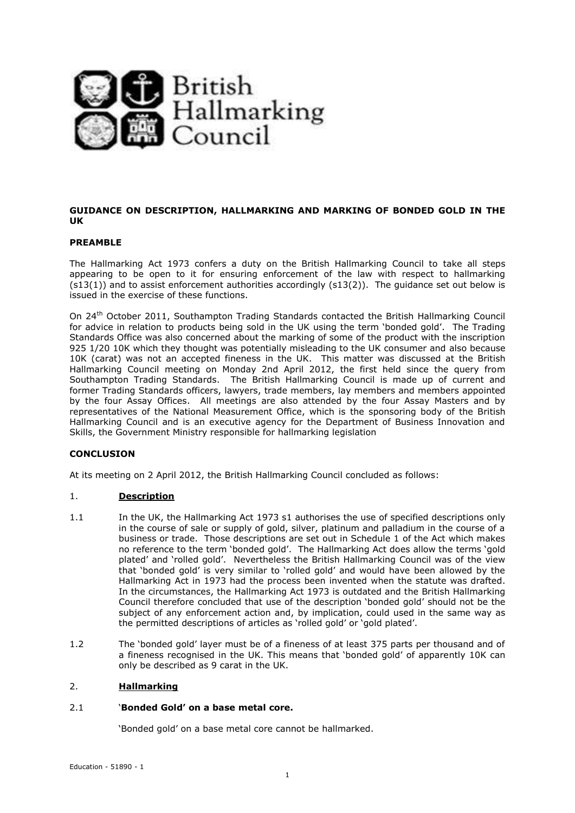

## **GUIDANCE ON DESCRIPTION, HALLMARKING AND MARKING OF BONDED GOLD IN THE UK**

#### **PREAMBLE**

The Hallmarking Act 1973 confers a duty on the British Hallmarking Council to take all steps appearing to be open to it for ensuring enforcement of the law with respect to hallmarking  $(s13(1))$  and to assist enforcement authorities accordingly  $(s13(2))$ . The quidance set out below is issued in the exercise of these functions.

On 24th October 2011, Southampton Trading Standards contacted the British Hallmarking Council for advice in relation to products being sold in the UK using the term 'bonded gold'. The Trading Standards Office was also concerned about the marking of some of the product with the inscription 925 1/20 10K which they thought was potentially misleading to the UK consumer and also because 10K (carat) was not an accepted fineness in the UK. This matter was discussed at the British Hallmarking Council meeting on Monday 2nd April 2012, the first held since the query from Southampton Trading Standards. The British Hallmarking Council is made up of current and former Trading Standards officers, lawyers, trade members, lay members and members appointed by the four Assay Offices. All meetings are also attended by the four Assay Masters and by representatives of the National Measurement Office, which is the sponsoring body of the British Hallmarking Council and is an executive agency for the Department of Business Innovation and Skills, the Government Ministry responsible for hallmarking legislation

## **CONCLUSION**

At its meeting on 2 April 2012, the British Hallmarking Council concluded as follows:

## 1. **Description**

- 1.1 In the UK, the Hallmarking Act 1973 s1 authorises the use of specified descriptions only in the course of sale or supply of gold, silver, platinum and palladium in the course of a business or trade. Those descriptions are set out in Schedule 1 of the Act which makes no reference to the term 'bonded gold'. The Hallmarking Act does allow the terms 'gold plated' and 'rolled gold'. Nevertheless the British Hallmarking Council was of the view that 'bonded gold' is very similar to 'rolled gold' and would have been allowed by the Hallmarking Act in 1973 had the process been invented when the statute was drafted. In the circumstances, the Hallmarking Act 1973 is outdated and the British Hallmarking Council therefore concluded that use of the description 'bonded gold' should not be the subject of any enforcement action and, by implication, could used in the same way as the permitted descriptions of articles as 'rolled gold' or 'gold plated'.
- 1.2 The 'bonded gold' layer must be of a fineness of at least 375 parts per thousand and of a fineness recognised in the UK. This means that 'bonded gold' of apparently 10K can only be described as 9 carat in the UK.

#### 2. **Hallmarking**

## 2.1 '**Bonded Gold' on a base metal core.**

'Bonded gold' on a base metal core cannot be hallmarked.